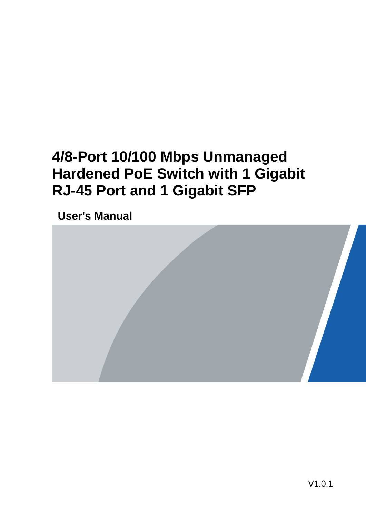# **4/8-Port 10/100 Mbps Unmanaged Hardened PoE Switch with 1 Gigabit RJ-45 Port and 1 Gigabit SFP**

**User's Manual** 

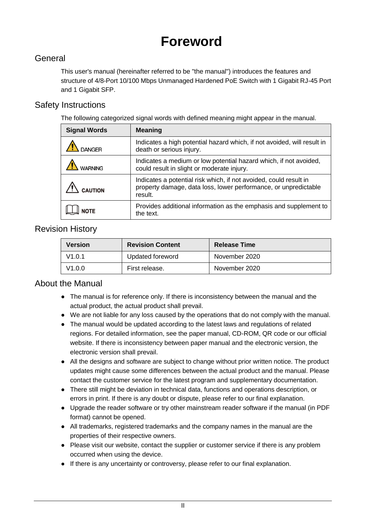# **Foreword**

### **General**

This user's manual (hereinafter referred to be "the manual") introduces the features and structure of 4/8-Port 10/100 Mbps Unmanaged Hardened PoE Switch with 1 Gigabit RJ-45 Port and 1 Gigabit SFP.

### Safety Instructions

The following categorized signal words with defined meaning might appear in the manual.

| <b>Signal Words</b> | <b>Meaning</b>                                                                                                                                  |
|---------------------|-------------------------------------------------------------------------------------------------------------------------------------------------|
|                     | Indicates a high potential hazard which, if not avoided, will result in<br>death or serious injury.                                             |
|                     | Indicates a medium or low potential hazard which, if not avoided,<br>could result in slight or moderate injury.                                 |
| <b>CAUTION</b>      | Indicates a potential risk which, if not avoided, could result in<br>property damage, data loss, lower performance, or unpredictable<br>result. |
|                     | Provides additional information as the emphasis and supplement to<br>the text.                                                                  |

### Revision History

| <b>Version</b> | <b>Revision Content</b> | <b>Release Time</b> |
|----------------|-------------------------|---------------------|
| V1.0.1         | Updated foreword        | November 2020       |
| V1.0.0         | First release.          | November 2020       |

### About the Manual

- The manual is for reference only. If there is inconsistency between the manual and the actual product, the actual product shall prevail.
- We are not liable for any loss caused by the operations that do not comply with the manual.
- The manual would be updated according to the latest laws and regulations of related regions. For detailed information, see the paper manual, CD-ROM, QR code or our official website. If there is inconsistency between paper manual and the electronic version, the electronic version shall prevail.
- All the designs and software are subject to change without prior written notice. The product updates might cause some differences between the actual product and the manual. Please contact the customer service for the latest program and supplementary documentation.
- There still might be deviation in technical data, functions and operations description, or errors in print. If there is any doubt or dispute, please refer to our final explanation.
- Upgrade the reader software or try other mainstream reader software if the manual (in PDF format) cannot be opened.
- All trademarks, registered trademarks and the company names in the manual are the properties of their respective owners.
- Please visit our website, contact the supplier or customer service if there is any problem occurred when using the device.
- If there is any uncertainty or controversy, please refer to our final explanation.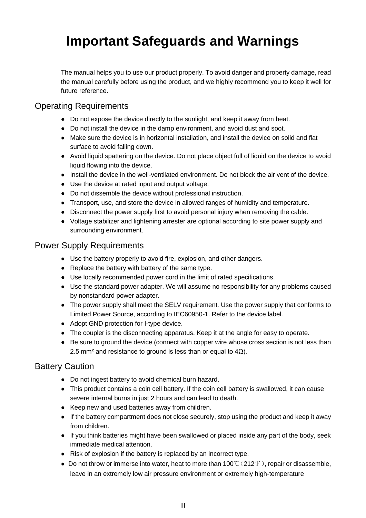# <span id="page-2-0"></span>**Important Safeguards and Warnings**

The manual helps you to use our product properly. To avoid danger and property damage, read the manual carefully before using the product, and we highly recommend you to keep it well for future reference.

### Operating Requirements

- Do not expose the device directly to the sunlight, and keep it away from heat.
- Do not install the device in the damp environment, and avoid dust and soot.
- Make sure the device is in horizontal installation, and install the device on solid and flat surface to avoid falling down.
- Avoid liquid spattering on the device. Do not place object full of liquid on the device to avoid liquid flowing into the device.
- Install the device in the well-ventilated environment. Do not block the air vent of the device.
- Use the device at rated input and output voltage.
- Do not dissemble the device without professional instruction.
- Transport, use, and store the device in allowed ranges of humidity and temperature.
- Disconnect the power supply first to avoid personal injury when removing the cable.
- Voltage stabilizer and lightening arrester are optional according to site power supply and surrounding environment.

### Power Supply Requirements

- Use the battery properly to avoid fire, explosion, and other dangers.
- Replace the battery with battery of the same type.
- Use locally recommended power cord in the limit of rated specifications.
- Use the standard power adapter. We will assume no responsibility for any problems caused by nonstandard power adapter.
- The power supply shall meet the SELV requirement. Use the power supply that conforms to Limited Power Source, according to IEC60950-1. Refer to the device label.
- Adopt GND protection for I-type device.
- The coupler is the disconnecting apparatus. Keep it at the angle for easy to operate.
- Be sure to ground the device (connect with copper wire whose cross section is not less than 2.5 mm<sup>2</sup> and resistance to ground is less than or equal to  $4Ω$ ).

### Battery Caution

- Do not ingest battery to avoid chemical burn hazard.
- This product contains a coin cell battery. If the coin cell battery is swallowed, it can cause severe internal burns in just 2 hours and can lead to death.
- Keep new and used batteries away from children.
- If the battery compartment does not close securely, stop using the product and keep it away from children.
- If you think batteries might have been swallowed or placed inside any part of the body, seek immediate medical attention.
- Risk of explosion if the battery is replaced by an incorrect type.
- Do not throw or immerse into water, heat to more than  $100^{\circ}$  (212°F), repair or disassemble, leave in an extremely low air pressure environment or extremely high-temperature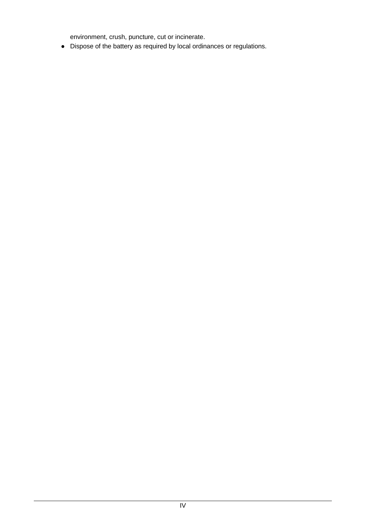environment, crush, puncture, cut or incinerate.

● Dispose of the battery as required by local ordinances or regulations.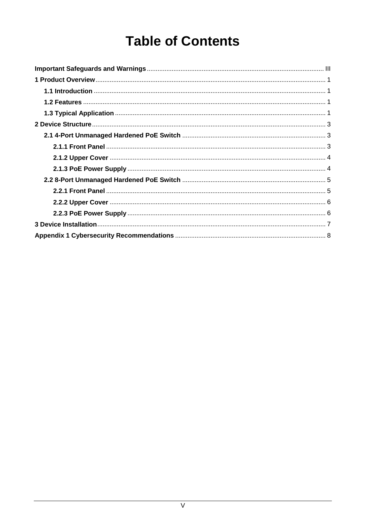# **Table of Contents**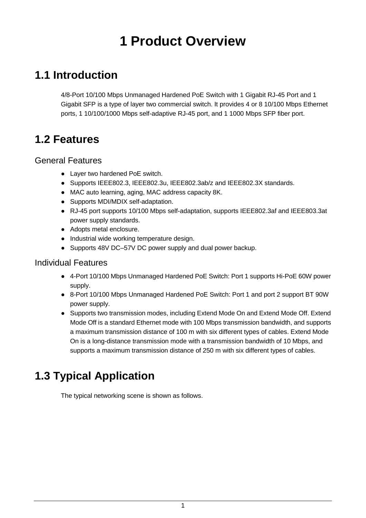# **1 Product Overview**

## <span id="page-5-1"></span><span id="page-5-0"></span>**1.1 Introduction**

4/8-Port 10/100 Mbps Unmanaged Hardened PoE Switch with 1 Gigabit RJ-45 Port and 1 Gigabit SFP is a type of layer two commercial switch. It provides 4 or 8 10/100 Mbps Ethernet ports, 1 10/100/1000 Mbps self-adaptive RJ-45 port, and 1 1000 Mbps SFP fiber port.

## <span id="page-5-2"></span>**1.2 Features**

### General Features

- Layer two hardened PoE switch.
- Supports IEEE802.3, IEEE802.3u, IEEE802.3ab/z and IEEE802.3X standards.
- MAC auto learning, aging, MAC address capacity 8K.
- Supports MDI/MDIX self-adaptation.
- RJ-45 port supports 10/100 Mbps self-adaptation, supports IEEE802.3af and IEEE803.3at power supply standards.
- Adopts metal enclosure.
- Industrial wide working temperature design.
- Supports 48V DC–57V DC power supply and dual power backup.

### Individual Features

- 4-Port 10/100 Mbps Unmanaged Hardened PoE Switch: Port 1 supports Hi-PoE 60W power supply.
- 8-Port 10/100 Mbps Unmanaged Hardened PoE Switch: Port 1 and port 2 support BT 90W power supply.
- Supports two transmission modes, including Extend Mode On and Extend Mode Off. Extend Mode Off is a standard Ethernet mode with 100 Mbps transmission bandwidth, and supports a maximum transmission distance of 100 m with six different types of cables. Extend Mode On is a long-distance transmission mode with a transmission bandwidth of 10 Mbps, and supports a maximum transmission distance of 250 m with six different types of cables.

## <span id="page-5-3"></span>**1.3 Typical Application**

The typical networking scene is shown as follows.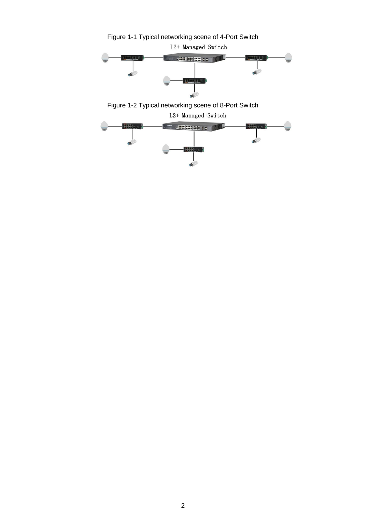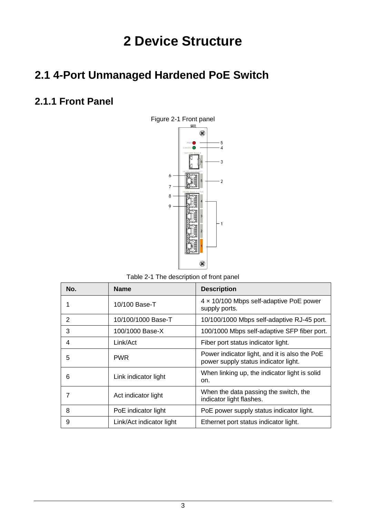# **2 Device Structure**

## <span id="page-7-1"></span><span id="page-7-0"></span>**2.1 4-Port Unmanaged Hardened PoE Switch**

## <span id="page-7-2"></span>**2.1.1 Front Panel**



Table 2-1 The description of front panel

| No. | <b>Name</b>              | <b>Description</b>                                                                    |
|-----|--------------------------|---------------------------------------------------------------------------------------|
|     | 10/100 Base-T            | 4 x 10/100 Mbps self-adaptive PoE power<br>supply ports.                              |
| 2   | 10/100/1000 Base-T       | 10/100/1000 Mbps self-adaptive RJ-45 port.                                            |
| 3   | 100/1000 Base-X          | 100/1000 Mbps self-adaptive SFP fiber port.                                           |
| 4   | Link/Act                 | Fiber port status indicator light.                                                    |
| 5   | <b>PWR</b>               | Power indicator light, and it is also the PoE<br>power supply status indicator light. |
| 6   | Link indicator light     | When linking up, the indicator light is solid<br>on.                                  |
|     | Act indicator light      | When the data passing the switch, the<br>indicator light flashes.                     |
| 8   | PoE indicator light      | PoE power supply status indicator light.                                              |
| 9   | Link/Act indicator light | Ethernet port status indicator light.                                                 |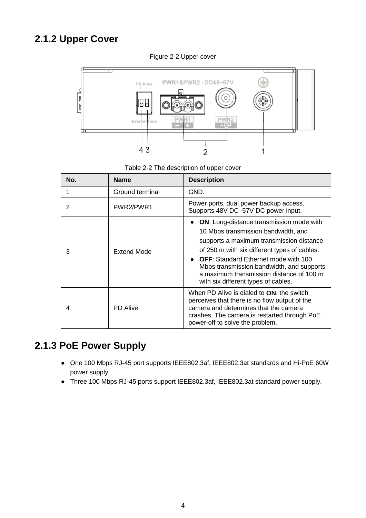## <span id="page-8-0"></span>**2.1.2 Upper Cover**



Figure 2-2 Upper cover

Table 2-2 The description of upper cover

| No. | <b>Name</b>     | <b>Description</b>                                                                                                                                                                                                                                                                                                                                                |
|-----|-----------------|-------------------------------------------------------------------------------------------------------------------------------------------------------------------------------------------------------------------------------------------------------------------------------------------------------------------------------------------------------------------|
|     | Ground terminal | GND.                                                                                                                                                                                                                                                                                                                                                              |
| 2   | PWR2/PWR1       | Power ports, dual power backup access.<br>Supports 48V DC-57V DC power input.                                                                                                                                                                                                                                                                                     |
| 3   | Extend Mode     | <b>ON:</b> Long-distance transmission mode with<br>10 Mbps transmission bandwidth, and<br>supports a maximum transmission distance<br>of 250 m with six different types of cables.<br><b>OFF:</b> Standard Ethernet mode with 100<br>Mbps transmission bandwidth, and supports<br>a maximum transmission distance of 100 m<br>with six different types of cables. |
| 4   | <b>PD</b> Alive | When PD Alive is dialed to <b>ON</b> , the switch<br>perceives that there is no flow output of the<br>camera and determines that the camera<br>crashes. The camera is restarted through PoE<br>power-off to solve the problem.                                                                                                                                    |

## <span id="page-8-1"></span>**2.1.3 PoE Power Supply**

- One 100 Mbps RJ-45 port supports IEEE802.3af, IEEE802.3at standards and Hi-PoE 60W power supply.
- Three 100 Mbps RJ-45 ports support IEEE802.3af, IEEE802.3at standard power supply.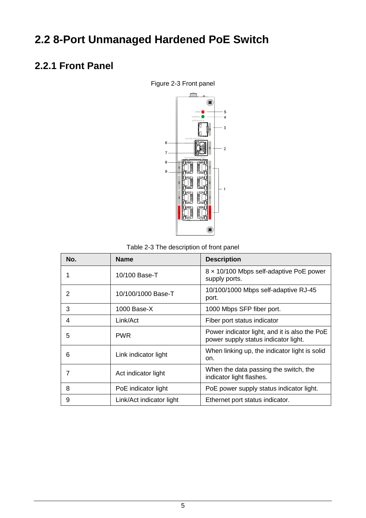# <span id="page-9-0"></span>**2.2 8-Port Unmanaged Hardened PoE Switch**

## <span id="page-9-1"></span>**2.2.1 Front Panel**



Table 2-3 The description of front panel

| No. | <b>Name</b>              | <b>Description</b>                                                                    |
|-----|--------------------------|---------------------------------------------------------------------------------------|
|     | 10/100 Base-T            | 8 x 10/100 Mbps self-adaptive PoE power<br>supply ports.                              |
| 2   | 10/100/1000 Base-T       | 10/100/1000 Mbps self-adaptive RJ-45<br>port.                                         |
| 3   | $1000$ Base-X            | 1000 Mbps SFP fiber port.                                                             |
| 4   | Link/Act                 | Fiber port status indicator                                                           |
| 5   | <b>PWR</b>               | Power indicator light, and it is also the PoE<br>power supply status indicator light. |
| 6   | Link indicator light     | When linking up, the indicator light is solid<br>on.                                  |
|     | Act indicator light      | When the data passing the switch, the<br>indicator light flashes.                     |
| 8   | PoE indicator light      | PoE power supply status indicator light.                                              |
| 9   | Link/Act indicator light | Ethernet port status indicator.                                                       |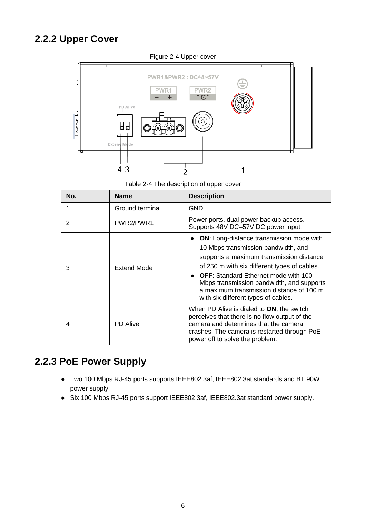## <span id="page-10-0"></span>**2.2.2 Upper Cover**



Table 2-4 The description of upper cover

| No. | <b>Name</b>     | <b>Description</b>                                                                                                                                                                                                                                                                                                                                                        |
|-----|-----------------|---------------------------------------------------------------------------------------------------------------------------------------------------------------------------------------------------------------------------------------------------------------------------------------------------------------------------------------------------------------------------|
|     | Ground terminal | GND.                                                                                                                                                                                                                                                                                                                                                                      |
|     | PWR2/PWR1       | Power ports, dual power backup access.<br>Supports 48V DC-57V DC power input.                                                                                                                                                                                                                                                                                             |
| 3   | Extend Mode     | <b>ON:</b> Long-distance transmission mode with<br>$\bullet$<br>10 Mbps transmission bandwidth, and<br>supports a maximum transmission distance<br>of 250 m with six different types of cables.<br>• OFF: Standard Ethernet mode with 100<br>Mbps transmission bandwidth, and supports<br>a maximum transmission distance of 100 m<br>with six different types of cables. |
| 4   | <b>PD</b> Alive | When PD Alive is dialed to ON, the switch<br>perceives that there is no flow output of the<br>camera and determines that the camera<br>crashes. The camera is restarted through PoE<br>power off to solve the problem.                                                                                                                                                    |

## <span id="page-10-1"></span>**2.2.3 PoE Power Supply**

- Two 100 Mbps RJ-45 ports supports IEEE802.3af, IEEE802.3at standards and BT 90W power supply.
- Six 100 Mbps RJ-45 ports support IEEE802.3af, IEEE802.3at standard power supply.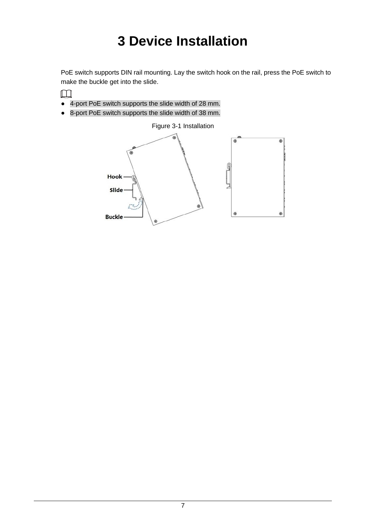# **3 Device Installation**

<span id="page-11-0"></span>PoE switch supports DIN rail mounting. Lay the switch hook on the rail, press the PoE switch to make the buckle get into the slide.

- $\Box$
- 4-port PoE switch supports the slide width of 28 mm.
- 8-port PoE switch supports the slide width of 38 mm.

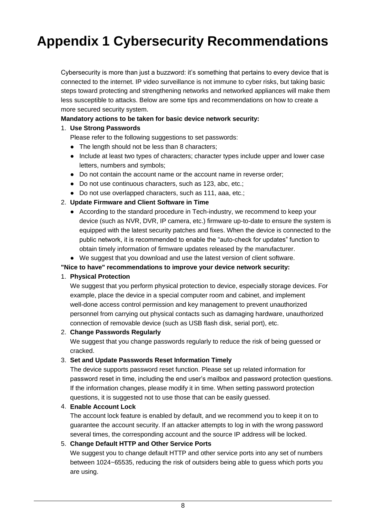# <span id="page-12-0"></span>**Appendix 1 Cybersecurity Recommendations**

Cybersecurity is more than just a buzzword: it's something that pertains to every device that is connected to the internet. IP video surveillance is not immune to cyber risks, but taking basic steps toward protecting and strengthening networks and networked appliances will make them less susceptible to attacks. Below are some tips and recommendations on how to create a more secured security system.

### **Mandatory actions to be taken for basic device network security:**

### 1. **Use Strong Passwords**

Please refer to the following suggestions to set passwords:

- The length should not be less than 8 characters;
- Include at least two types of characters; character types include upper and lower case letters, numbers and symbols;
- Do not contain the account name or the account name in reverse order;
- Do not use continuous characters, such as 123, abc, etc.;
- Do not use overlapped characters, such as 111, aaa, etc.;

### 2. **Update Firmware and Client Software in Time**

- According to the standard procedure in Tech-industry, we recommend to keep your device (such as NVR, DVR, IP camera, etc.) firmware up-to-date to ensure the system is equipped with the latest security patches and fixes. When the device is connected to the public network, it is recommended to enable the "auto-check for updates" function to obtain timely information of firmware updates released by the manufacturer.
- We suggest that you download and use the latest version of client software.

#### **"Nice to have" recommendations to improve your device network security:**

#### 1. **Physical Protection**

We suggest that you perform physical protection to device, especially storage devices. For example, place the device in a special computer room and cabinet, and implement well-done access control permission and key management to prevent unauthorized personnel from carrying out physical contacts such as damaging hardware, unauthorized connection of removable device (such as USB flash disk, serial port), etc.

#### 2. **Change Passwords Regularly**

We suggest that you change passwords regularly to reduce the risk of being guessed or cracked.

#### 3. **Set and Update Passwords Reset Information Timely**

The device supports password reset function. Please set up related information for password reset in time, including the end user's mailbox and password protection questions. If the information changes, please modify it in time. When setting password protection questions, it is suggested not to use those that can be easily guessed.

#### 4. **Enable Account Lock**

The account lock feature is enabled by default, and we recommend you to keep it on to guarantee the account security. If an attacker attempts to log in with the wrong password several times, the corresponding account and the source IP address will be locked.

### 5. **Change Default HTTP and Other Service Ports**

We suggest you to change default HTTP and other service ports into any set of numbers between 1024~65535, reducing the risk of outsiders being able to guess which ports you are using.